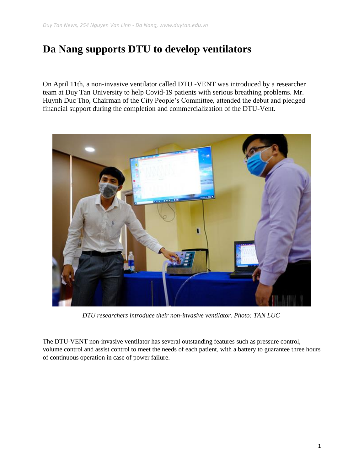## **Da Nang supports DTU to develop ventilators**

On April 11th, a non-invasive ventilator called DTU -VENT was introduced by a researcher team at Duy Tan University to help Covid-19 patients with serious breathing problems. Mr. Huynh Duc Tho, Chairman of the City People's Committee, attended the debut and pledged financial support during the completion and commercialization of the DTU-Vent.



*DTU researchers introduce their non-invasive ventilator. Photo: TAN LUC*

The DTU-VENT non-invasive ventilator has several outstanding features such as pressure control, volume control and assist control to meet the needs of each patient, with a battery to guarantee three hours of continuous operation in case of power failure.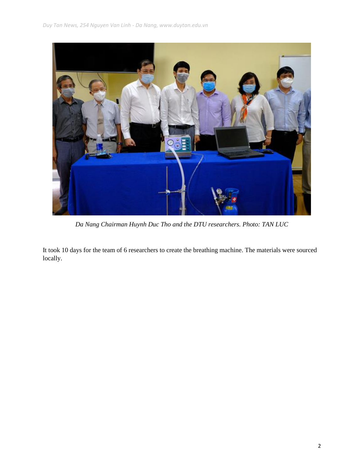

*Da Nang Chairman Huynh Duc Tho and the DTU researchers. Photo: TAN LUC*

It took 10 days for the team of 6 researchers to create the breathing machine. The materials were sourced locally.